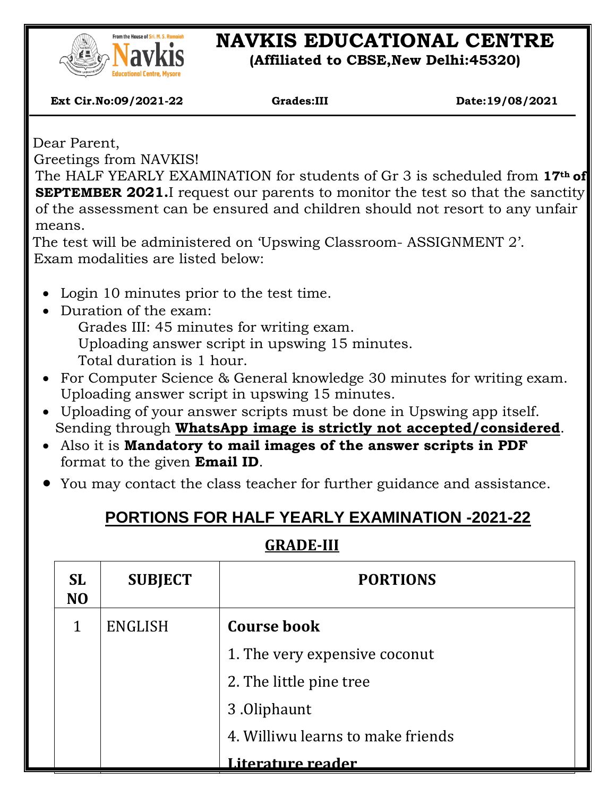

# **NAVKIS EDUCATIONAL CENTRE**

**(Affiliated to CBSE,New Delhi:45320)**

 **Ext Cir.No:09/2021-22 Grades:III Date:19/08/2021**

Dear Parent,

 $\overline{\phantom{a}}$ 

Greetings from NAVKIS!

The HALF YEARLY EXAMINATION for students of Gr 3 is scheduled from **17th of SEPTEMBER 2021.**I request our parents to monitor the test so that the sanctity of the assessment can be ensured and children should not resort to any unfair means.

The test will be administered on 'Upswing Classroom- ASSIGNMENT 2'. Exam modalities are listed below:

- Login 10 minutes prior to the test time.
- Duration of the exam:

Grades III: 45 minutes for writing exam. Uploading answer script in upswing 15 minutes. Total duration is 1 hour.

- For Computer Science & General knowledge 30 minutes for writing exam. Uploading answer script in upswing 15 minutes.
- Uploading of your answer scripts must be done in Upswing app itself. Sending through **WhatsApp image is strictly not accepted/considered**.
- Also it is **Mandatory to mail images of the answer scripts in PDF** format to the given **Email ID**.
- You may contact the class teacher for further guidance and assistance.

## **PORTIONS FOR HALF YEARLY EXAMINATION -2021-22**

### **GRADE-III**

| <b>SL</b><br>N <sub>O</sub> | <b>SUBJECT</b> | <b>PORTIONS</b>                   |  |
|-----------------------------|----------------|-----------------------------------|--|
|                             | ENGLISH        | <b>Course book</b>                |  |
|                             |                | 1. The very expensive coconut     |  |
|                             |                | 2. The little pine tree           |  |
|                             |                | 3.0liphaunt                       |  |
|                             |                | 4. Williwu learns to make friends |  |
|                             |                | <u>Literature reader</u>          |  |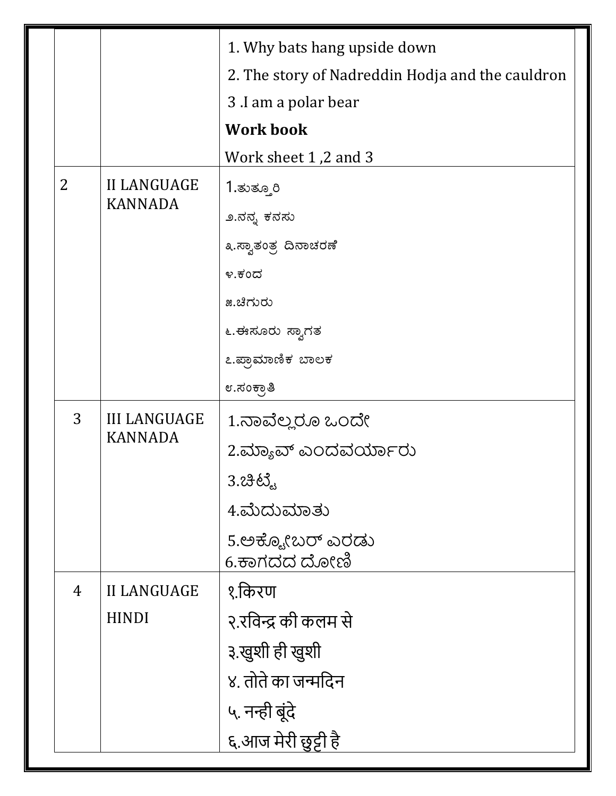|  |                |                                       | 1. Why bats hang upside down                     |  |
|--|----------------|---------------------------------------|--------------------------------------------------|--|
|  |                |                                       | 2. The story of Nadreddin Hodja and the cauldron |  |
|  |                |                                       | 3 .I am a polar bear                             |  |
|  |                |                                       | <b>Work book</b>                                 |  |
|  |                |                                       | Work sheet 1,2 and 3                             |  |
|  | $\overline{2}$ | <b>II LANGUAGE</b><br><b>KANNADA</b>  | 1.ತುತ್ತೂರಿ                                       |  |
|  |                |                                       | ೨.ನನ್ನ ಕನಸು                                      |  |
|  |                |                                       | ೩.ಸ್ವಾತಂತ್ರ ದಿನಾಚರಣೆ                             |  |
|  |                |                                       | ೪.ಕಂದ                                            |  |
|  |                |                                       | ೫.ಚಿಗುರು                                         |  |
|  |                |                                       | ೬.ಈಸೂರು ಸ್ವಾಗತ                                   |  |
|  |                |                                       | ೭.ಪ್ರಾಮಾಣಿಕ ಬಾಲಕ                                 |  |
|  |                |                                       | ೮.ಸಂಕ್ರಾತಿ                                       |  |
|  | 3              | <b>III LANGUAGE</b><br><b>KANNADA</b> | 1.ನಾವೆಲ್ಲರೂ ಒಂದೇ                                 |  |
|  |                |                                       | 2.ಮ್ಯಾವ್ ಎಂದವರ್ಯಾರು                              |  |
|  |                |                                       | 3. 23 63.                                        |  |
|  |                |                                       | 4.ಮೆದುಮಾತು                                       |  |
|  |                |                                       | 5.ಅಕ್ಟೋಬರ್ ಎರಡು<br>6.ಕಾಗದದ ದೋಣಿ                  |  |
|  | $\overline{4}$ | <b>II LANGUAGE</b>                    | १.किरण                                           |  |
|  |                | <b>HINDI</b>                          | २.रविन्द्र की कलम से                             |  |
|  |                |                                       | ३.खुशी ही खुशी                                   |  |
|  |                |                                       | ४. तोते का जन्मदिन                               |  |
|  |                |                                       | ५. नन्ही बूंदे                                   |  |
|  |                |                                       | ६.आज मेरी छुट्टी है                              |  |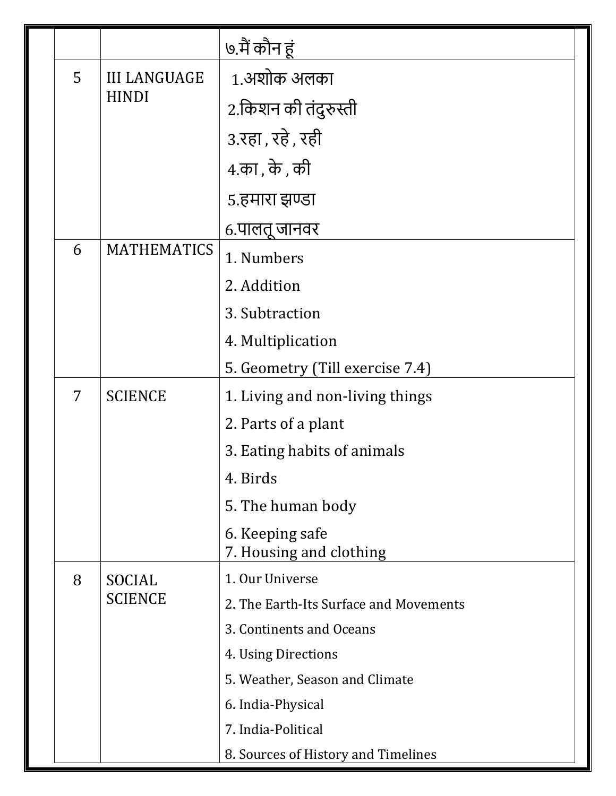|  |   |                                     | ७.मैं कौन हूं                              |
|--|---|-------------------------------------|--------------------------------------------|
|  | 5 | <b>III LANGUAGE</b><br><b>HINDI</b> | 1.अशोक अलका                                |
|  |   |                                     | 2.किशन की तंदुरुस्ती                       |
|  |   |                                     | 3.रहा, रहे, रही                            |
|  |   |                                     | 4.का , के , की                             |
|  |   |                                     | ५.हमारा झण्डा                              |
|  |   |                                     | ६.पालतू जानवर                              |
|  | 6 | <b>MATHEMATICS</b>                  | 1. Numbers                                 |
|  |   |                                     | 2. Addition                                |
|  |   |                                     | 3. Subtraction                             |
|  |   |                                     | 4. Multiplication                          |
|  |   |                                     | 5. Geometry (Till exercise 7.4)            |
|  | 7 | <b>SCIENCE</b>                      | 1. Living and non-living things            |
|  |   |                                     | 2. Parts of a plant                        |
|  |   |                                     | 3. Eating habits of animals                |
|  |   |                                     | 4. Birds                                   |
|  |   |                                     | 5. The human body                          |
|  |   |                                     | 6. Keeping safe<br>7. Housing and clothing |
|  | 8 | SOCIAL<br><b>SCIENCE</b>            | 1. Our Universe                            |
|  |   |                                     | 2. The Earth-Its Surface and Movements     |
|  |   |                                     | 3. Continents and Oceans                   |
|  |   |                                     | 4. Using Directions                        |
|  |   |                                     | 5. Weather, Season and Climate             |
|  |   |                                     | 6. India-Physical                          |
|  |   |                                     | 7. India-Political                         |
|  |   |                                     | 8. Sources of History and Timelines        |